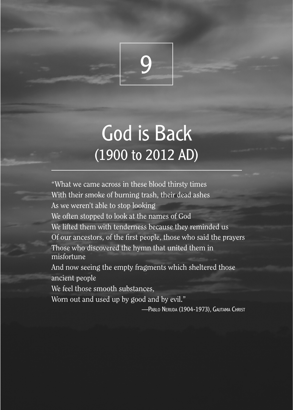

# God is Back (1900 to 2012 AD)

"What we came across in these blood thirsty times With their smoke of burning trash, their dead ashes As we weren't able to stop looking We often stopped to look at the names of God We lifted them with tenderness because they reminded us Of our ancestors, of the first people, those who said the prayers Those who discovered the hymn that united them in misfortune And now seeing the empty fragments which sheltered those ancient people

We feel those smooth substances,

Worn out and used up by good and by evil."

—Pablo Neruda (1904-1973), Gautama Christ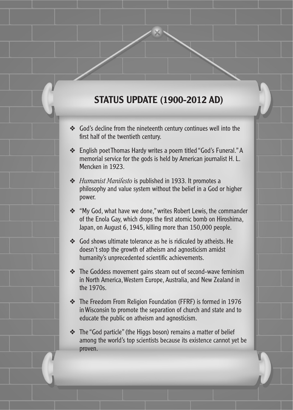## STATUS UPDATE (1900-2012 AD)

- ❖ God's decline from the nineteenth century continues well into the first half of the twentieth century.
- ❖ English poet Thomas Hardy writes a poem titled "God's Funeral." A memorial service for the gods is held by American journalist H. L. Mencken in 1923.
- ❖ *Humanist Manifesto* is published in 1933. It promotes a philosophy and value system without the belief in a God or higher power.
- ❖ "My God, what have we done," writes Robert Lewis, the commander of the Enola Gay, which drops the first atomic bomb on Hiroshima, Japan, on August 6, 1945, killing more than 150,000 people.
- ❖ God shows ultimate tolerance as he is ridiculed by atheists. He doesn't stop the growth of atheism and agnosticism amidst humanity's unprecedented scientific achievements.
- ❖ The Goddess movement gains steam out of second-wave feminism in North America, Western Europe, Australia, and New Zealand in the 1970s.
- ❖ The Freedom From Religion Foundation (FFRF) is formed in 1976 in Wisconsin to promote the separation of church and state and to educate the public on atheism and agnosticism.
- ❖ The "God particle" (the Higgs boson) remains a matter of belief among the world's top scientists because its existence cannot yet be proven.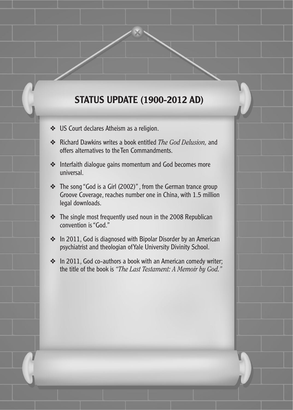## STATUS UPDATE (1900-2012 AD)

God's FaceBook God's FaceBook God's FaceBook God's FaceBook God's FaceBook God's FaceBook God's FaceBook God's

- ❖ US Court declares Atheism as a religion.
- ❖ Richard Dawkins writes a book entitled *The God Delusion,* and offers alternatives to the Ten Commandments.
- ❖ Interfaith dialogue gains momentum and God becomes more universal.
- ❖ The song "God is a Girl (2002)" , from the German trance group Groove Coverage, reaches number one in China, with 1.5 million legal downloads.
- ❖ The single most frequently used noun in the 2008 Republican convention is "God."
- ❖ In 2011, God is diagnosed with Bipolar Disorder by an American psychiatrist and theologian of Yale University Divinity School.
- ❖ In 2011, God co-authors a book with an American comedy writer; the title of the book is *"The Last Testament: A Memoir by God."*

272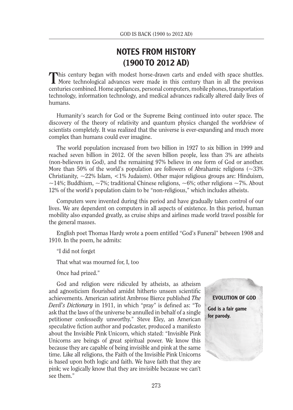#### NOTES FROM HISTORY (1900 TO 2012 AD)

This century began with modest horse-drawn carts and ended with space shuttles.<br>More technological advances were made in this century than in all the previous centuries combined. Home appliances, personal computers, mobile phones, transportation technology, information technology, and medical advances radically altered daily lives of humans.

Humanity's search for God or the Supreme Being continued into outer space. The discovery of the theory of relativity and quantum physics changed the worldview of scientists completely. It was realized that the universe is ever-expanding and much more complex than humans could ever imagine.

The world population increased from two billion in 1927 to six billion in 1999 and reached seven billion in 2012. Of the seven billion people, less than 3% are atheists (non-believers in God), and the remaining 97% believe in one form of God or another. More than 50% of the world's population are followers of Abrahamic religions  $\sim$  33% Christianity,  $\sim$ 22% Islam,  $\lt$ 1% Judaism). Other major religious groups are: Hinduism,  $\sim$ 14%; Buddhism,  $\sim$ 7%; traditional Chinese religions,  $\sim$ 6%; other religions  $\sim$ 7%. About 12% of the world's population claim to be "non-religious," which includes atheists.

Computers were invented during this period and have gradually taken control of our lives. We are dependent on computers in all aspects of existence. In this period, human mobility also expanded greatly, as cruise ships and airlines made world travel possible for the general masses.

English poet Thomas Hardy wrote a poem entitled "God's Funeral" between 1908 and 1910. In the poem, he admits:

"I did not forget

That what was mourned for, I, too

Once had prized."

God and religion were ridiculed by atheists, as atheism and agnosticism flourished amidst hitherto unseen scientific achievements. American satirist Ambrose Bierce published *The Devil's Dictionary* in 1911, in which "pray" is defined as: "To ask that the laws of the universe be annulled in behalf of a single petitioner confessedly unworthy." Steve Eley, an American speculative fiction author and podcaster, produced a manifesto about the Invisible Pink Unicorn, which stated: "Invisible Pink Unicorns are beings of great spiritual power. We know this because they are capable of being invisible and pink at the same time. Like all religions, the Faith of the Invisible Pink Unicorns is based upon both logic and faith. We have faith that they are pink; we logically know that they are invisible because we can't see them."